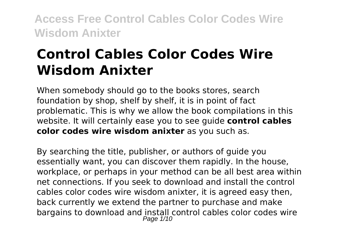# **Control Cables Color Codes Wire Wisdom Anixter**

When somebody should go to the books stores, search foundation by shop, shelf by shelf, it is in point of fact problematic. This is why we allow the book compilations in this website. It will certainly ease you to see guide **control cables color codes wire wisdom anixter** as you such as.

By searching the title, publisher, or authors of guide you essentially want, you can discover them rapidly. In the house, workplace, or perhaps in your method can be all best area within net connections. If you seek to download and install the control cables color codes wire wisdom anixter, it is agreed easy then, back currently we extend the partner to purchase and make bargains to download and install control cables color codes wire Page 1/10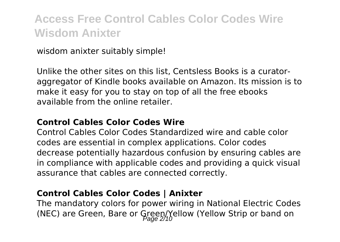wisdom anixter suitably simple!

Unlike the other sites on this list, Centsless Books is a curatoraggregator of Kindle books available on Amazon. Its mission is to make it easy for you to stay on top of all the free ebooks available from the online retailer.

#### **Control Cables Color Codes Wire**

Control Cables Color Codes Standardized wire and cable color codes are essential in complex applications. Color codes decrease potentially hazardous confusion by ensuring cables are in compliance with applicable codes and providing a quick visual assurance that cables are connected correctly.

#### **Control Cables Color Codes | Anixter**

The mandatory colors for power wiring in National Electric Codes (NEC) are Green, Bare or Green/Yellow (Yellow Strip or band on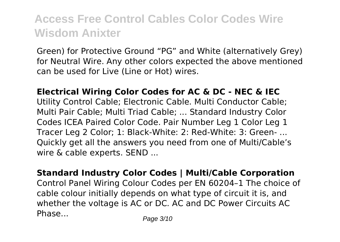Green) for Protective Ground "PG" and White (alternatively Grey) for Neutral Wire. Any other colors expected the above mentioned can be used for Live (Line or Hot) wires.

**Electrical Wiring Color Codes for AC & DC - NEC & IEC** Utility Control Cable; Electronic Cable. Multi Conductor Cable; Multi Pair Cable; Multi Triad Cable; ... Standard Industry Color Codes ICEA Paired Color Code. Pair Number Leg 1 Color Leg 1 Tracer Leg 2 Color; 1: Black-White: 2: Red-White: 3: Green- ... Quickly get all the answers you need from one of Multi/Cable's wire & cable experts. SEND ...

**Standard Industry Color Codes | Multi/Cable Corporation** Control Panel Wiring Colour Codes per EN 60204–1 The choice of cable colour initially depends on what type of circuit it is, and whether the voltage is AC or DC. AC and DC Power Circuits AC Phase... Phase Page 3/10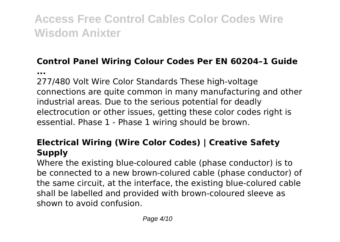### **Control Panel Wiring Colour Codes Per EN 60204–1 Guide**

**...**

277/480 Volt Wire Color Standards These high-voltage connections are quite common in many manufacturing and other industrial areas. Due to the serious potential for deadly electrocution or other issues, getting these color codes right is essential. Phase 1 - Phase 1 wiring should be brown.

#### **Electrical Wiring (Wire Color Codes) | Creative Safety Supply**

Where the existing blue-coloured cable (phase conductor) is to be connected to a new brown-colured cable (phase conductor) of the same circuit, at the interface, the existing blue-colured cable shall be labelled and provided with brown-coloured sleeve as shown to avoid confusion.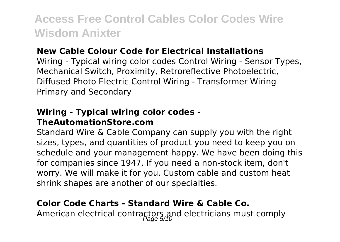#### **New Cable Colour Code for Electrical Installations**

Wiring - Typical wiring color codes Control Wiring - Sensor Types, Mechanical Switch, Proximity, Retroreflective Photoelectric, Diffused Photo Electric Control Wiring - Transformer Wiring Primary and Secondary

#### **Wiring - Typical wiring color codes - TheAutomationStore.com**

Standard Wire & Cable Company can supply you with the right sizes, types, and quantities of product you need to keep you on schedule and your management happy. We have been doing this for companies since 1947. If you need a non-stock item, don't worry. We will make it for you. Custom cable and custom heat shrink shapes are another of our specialties.

#### **Color Code Charts - Standard Wire & Cable Co.**

American electrical contractors and electricians must comply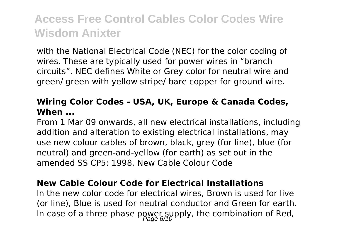with the National Electrical Code (NEC) for the color coding of wires. These are typically used for power wires in "branch circuits". NEC defines White or Grey color for neutral wire and green/ green with yellow stripe/ bare copper for ground wire.

#### **Wiring Color Codes - USA, UK, Europe & Canada Codes, When ...**

From 1 Mar 09 onwards, all new electrical installations, including addition and alteration to existing electrical installations, may use new colour cables of brown, black, grey (for line), blue (for neutral) and green-and-yellow (for earth) as set out in the amended SS CP5: 1998. New Cable Colour Code

#### **New Cable Colour Code for Electrical Installations**

In the new color code for electrical wires, Brown is used for live (or line), Blue is used for neutral conductor and Green for earth. In case of a three phase power supply, the combination of Red,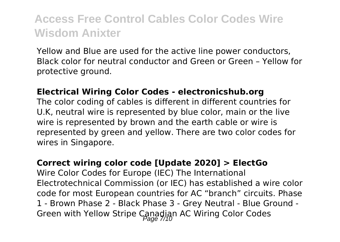Yellow and Blue are used for the active line power conductors, Black color for neutral conductor and Green or Green – Yellow for protective ground.

#### **Electrical Wiring Color Codes - electronicshub.org**

The color coding of cables is different in different countries for U.K, neutral wire is represented by blue color, main or the live wire is represented by brown and the earth cable or wire is represented by green and yellow. There are two color codes for wires in Singapore.

#### **Correct wiring color code [Update 2020] > ElectGo**

Wire Color Codes for Europe (IEC) The International Electrotechnical Commission (or IEC) has established a wire color code for most European countries for AC "branch" circuits. Phase 1 - Brown Phase 2 - Black Phase 3 - Grey Neutral - Blue Ground - Green with Yellow Stripe Canadian AC Wiring Color Codes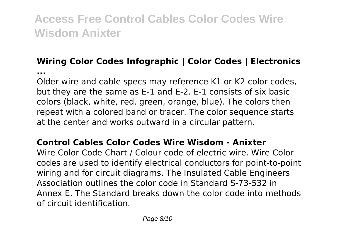### **Wiring Color Codes Infographic | Color Codes | Electronics**

**...**

Older wire and cable specs may reference K1 or K2 color codes, but they are the same as E-1 and E-2. E-1 consists of six basic colors (black, white, red, green, orange, blue). The colors then repeat with a colored band or tracer. The color sequence starts at the center and works outward in a circular pattern.

#### **Control Cables Color Codes Wire Wisdom - Anixter**

Wire Color Code Chart / Colour code of electric wire. Wire Color codes are used to identify electrical conductors for point-to-point wiring and for circuit diagrams. The Insulated Cable Engineers Association outlines the color code in Standard S-73-532 in Annex E. The Standard breaks down the color code into methods of circuit identification.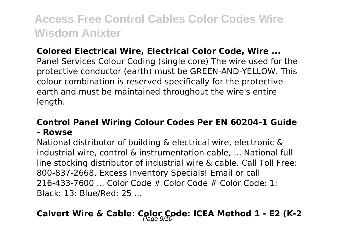#### **Colored Electrical Wire, Electrical Color Code, Wire ...**

Panel Services Colour Coding (single core) The wire used for the protective conductor (earth) must be GREEN-AND-YELLOW. This colour combination is reserved specifically for the protective earth and must be maintained throughout the wire's entire length.

#### **Control Panel Wiring Colour Codes Per EN 60204-1 Guide - Rowse**

National distributor of building & electrical wire, electronic & industrial wire, control & instrumentation cable, ... National full line stocking distributor of industrial wire & cable. Call Toll Free: 800-837-2668. Excess Inventory Specials! Email or call  $216-433-7600$  Color Code # Color Code # Color Code: 1: Black: 13: Blue/Red: 25 ...

### Calvert Wire & Cable: Color Code: ICEA Method 1 - E2 (K-2